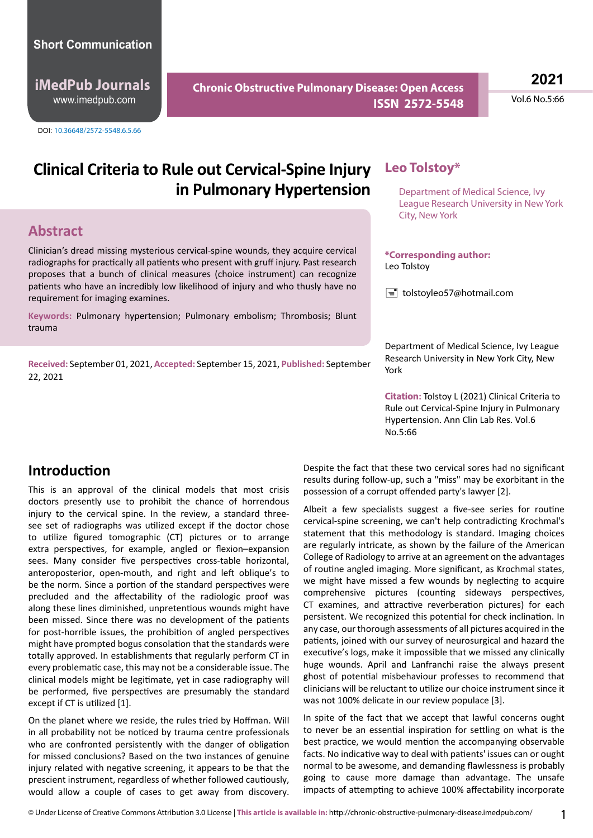### **Short Communication**

**iMedPub Journals** www.imedpub.com

DOI: 10.36648/2572-5548.6.5.66

**Chronic Obstructive Pulmonary Disease: Open Access ISSN 2572-5548** **2021**

Vol.6 No.5:66

# **Clinical Criteria to Rule out Cervical-Spine Injury** Leo Tolstoy\* **in Pulmonary Hypertension**

### **Abstract**

Clinician's dread missing mysterious cervical-spine wounds, they acquire cervical radiographs for practically all patients who present with gruff injury. Past research proposes that a bunch of clinical measures (choice instrument) can recognize patients who have an incredibly low likelihood of injury and who thusly have no requirement for imaging examines.

**Keywords:** Pulmonary hypertension; Pulmonary embolism; Thrombosis; Blunt trauma

**Received:** September 01, 2021, **Accepted:** September 15, 2021, **Published:** September 22, 2021

Department of Medical Science, Ivy League Research University in New York City, New York

### **\*Corresponding author:** Leo Tolstoy

 $\equiv$  tolstoyleo57@hotmail.com

Department of Medical Science, Ivy League Research University in New York City, New York

**Citation:** Tolstoy L (2021) Clinical Criteria to Rule out Cervical-Spine Injury in Pulmonary Hypertension. Ann Clin Lab Res. Vol.6 No.5:66

## **Introduction**

This is an approval of the clinical models that most crisis doctors presently use to prohibit the chance of horrendous injury to the cervical spine. In the review, a standard threesee set of radiographs was utilized except if the doctor chose to utilize figured tomographic (CT) pictures or to arrange extra perspectives, for example, angled or flexion–expansion sees. Many consider five perspectives cross-table horizontal, anteroposterior, open-mouth, and right and left oblique's to be the norm. Since a portion of the standard perspectives were precluded and the affectability of the radiologic proof was along these lines diminished, unpretentious wounds might have been missed. Since there was no development of the patients for post-horrible issues, the prohibition of angled perspectives might have prompted bogus consolation that the standards were totally approved. In establishments that regularly perform CT in every problematic case, this may not be a considerable issue. The clinical models might be legitimate, yet in case radiography will be performed, five perspectives are presumably the standard except if CT is utilized [1].

On the planet where we reside, the rules tried by Hoffman. Will in all probability not be noticed by trauma centre professionals who are confronted persistently with the danger of obligation for missed conclusions? Based on the two instances of genuine injury related with negative screening, it appears to be that the prescient instrument, regardless of whether followed cautiously, would allow a couple of cases to get away from discovery. Despite the fact that these two cervical sores had no significant results during follow-up, such a "miss" may be exorbitant in the possession of a corrupt offended party's lawyer [2].

Albeit a few specialists suggest a five-see series for routine cervical-spine screening, we can't help contradicting Krochmal's statement that this methodology is standard. Imaging choices are regularly intricate, as shown by the failure of the American College of Radiology to arrive at an agreement on the advantages of routine angled imaging. More significant, as Krochmal states, we might have missed a few wounds by neglecting to acquire comprehensive pictures (counting sideways perspectives, CT examines, and attractive reverberation pictures) for each persistent. We recognized this potential for check inclination. In any case, our thorough assessments of all pictures acquired in the patients, joined with our survey of neurosurgical and hazard the executive's logs, make it impossible that we missed any clinically huge wounds. April and Lanfranchi raise the always present ghost of potential misbehaviour professes to recommend that clinicians will be reluctant to utilize our choice instrument since it was not 100% delicate in our review populace [3].

In spite of the fact that we accept that lawful concerns ought to never be an essential inspiration for settling on what is the best practice, we would mention the accompanying observable facts. No indicative way to deal with patients' issues can or ought normal to be awesome, and demanding flawlessness is probably going to cause more damage than advantage. The unsafe impacts of attempting to achieve 100% affectability incorporate